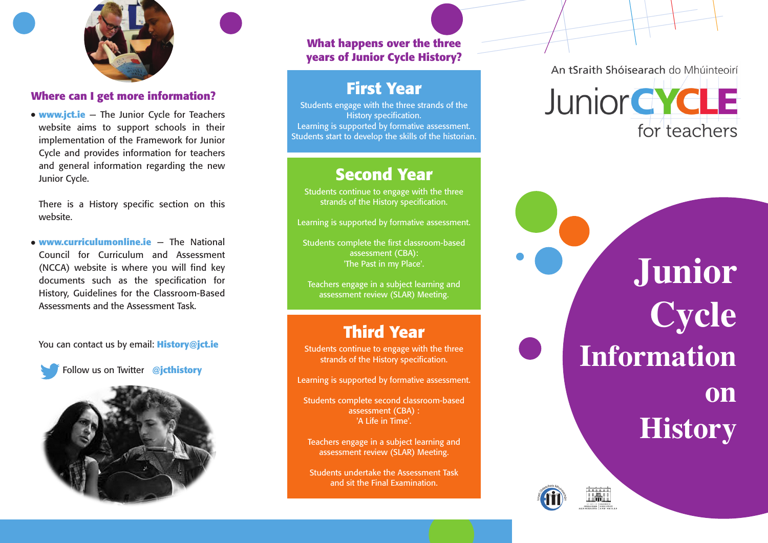

#### Where can I get more information?

**www.jct.ie** — The Junior Cycle for Teachers website aims to support schools in their implementation of the Framework for Junior Cycle and provides information for teachers and general information regarding the new Junior Cycle. ●●

There is a History specific section on this website.

**www.curriculumonline.ie – The National** Council for Curriculum and Assessment (NCCA) website is where you will find key documents such as the specification for History, Guidelines for the Classroom-Based Assessments and the Assessment Task.

You can contact us by email: History@jct.ie

**Follow us on Twitter** @**jcthistory** 



What happens over the three years of Junior Cycle History?

# **F i r s t Ye a r**

Students engage with the three strands of the History specification. Learning is supported by formative assessment. Students start to develop the skills of the historian.

## **Second Year**

Students continue to engage with the three strands of the History specification.

Learning is supported by formative assessment.

Students complete the first classroom-based a s s e s s m e n t ( C B A) : 'The Past in my Place'.

Teachers engage in a subject learning and assessment review (SLAR) Meeting.

## **T h i r d Ye a r**

Students continue to engage with the three strands of the History specification.

Learning is supported by formative assessment.

Students complete second classroom-based assessment (CBA) : 'A Life in Time'.

Teachers engage in a subject learning and assessment review (SLAR) Meeting.

Students undertake the Assessment Task and sit the Final Examination.

An tSraith Shóisearach do Mhúinteoirí



**J u n i o r C y c l e** Information **o n History**